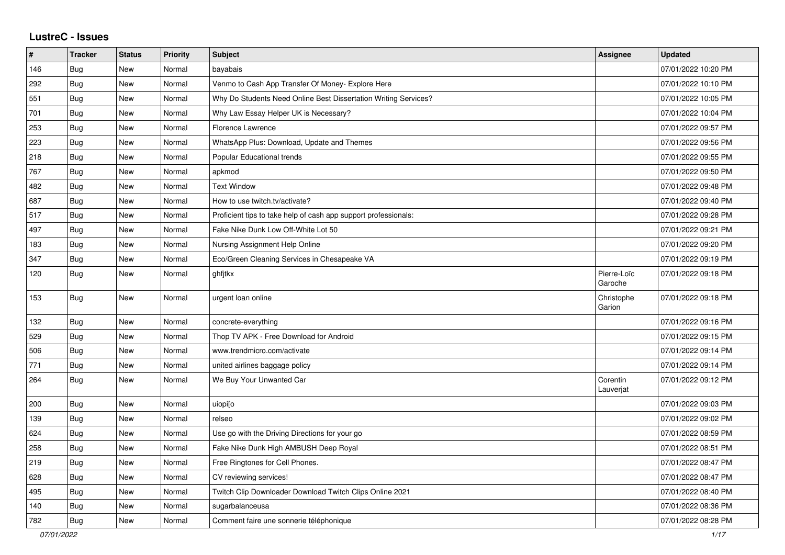## **LustreC - Issues**

| #   | <b>Tracker</b> | <b>Status</b> | <b>Priority</b> | <b>Subject</b>                                                  | Assignee               | <b>Updated</b>      |
|-----|----------------|---------------|-----------------|-----------------------------------------------------------------|------------------------|---------------------|
| 146 | Bug            | New           | Normal          | bayabais                                                        |                        | 07/01/2022 10:20 PM |
| 292 | Bug            | <b>New</b>    | Normal          | Venmo to Cash App Transfer Of Money- Explore Here               |                        | 07/01/2022 10:10 PM |
| 551 | <b>Bug</b>     | <b>New</b>    | Normal          | Why Do Students Need Online Best Dissertation Writing Services? |                        | 07/01/2022 10:05 PM |
| 701 | Bug            | New           | Normal          | Why Law Essay Helper UK is Necessary?                           |                        | 07/01/2022 10:04 PM |
| 253 | <b>Bug</b>     | <b>New</b>    | Normal          | Florence Lawrence                                               |                        | 07/01/2022 09:57 PM |
| 223 | <b>Bug</b>     | <b>New</b>    | Normal          | WhatsApp Plus: Download, Update and Themes                      |                        | 07/01/2022 09:56 PM |
| 218 | Bug            | New           | Normal          | Popular Educational trends                                      |                        | 07/01/2022 09:55 PM |
| 767 | <b>Bug</b>     | New           | Normal          | apkmod                                                          |                        | 07/01/2022 09:50 PM |
| 482 | <b>Bug</b>     | New           | Normal          | <b>Text Window</b>                                              |                        | 07/01/2022 09:48 PM |
| 687 | <b>Bug</b>     | <b>New</b>    | Normal          | How to use twitch.tv/activate?                                  |                        | 07/01/2022 09:40 PM |
| 517 | Bug            | <b>New</b>    | Normal          | Proficient tips to take help of cash app support professionals: |                        | 07/01/2022 09:28 PM |
| 497 | <b>Bug</b>     | New           | Normal          | Fake Nike Dunk Low Off-White Lot 50                             |                        | 07/01/2022 09:21 PM |
| 183 | Bug            | <b>New</b>    | Normal          | Nursing Assignment Help Online                                  |                        | 07/01/2022 09:20 PM |
| 347 | <b>Bug</b>     | New           | Normal          | Eco/Green Cleaning Services in Chesapeake VA                    |                        | 07/01/2022 09:19 PM |
| 120 | <b>Bug</b>     | New           | Normal          | ghfitkx                                                         | Pierre-Loïc<br>Garoche | 07/01/2022 09:18 PM |
| 153 | Bug            | New           | Normal          | urgent loan online                                              | Christophe<br>Garion   | 07/01/2022 09:18 PM |
| 132 | <b>Bug</b>     | <b>New</b>    | Normal          | concrete-everything                                             |                        | 07/01/2022 09:16 PM |
| 529 | Bug            | New           | Normal          | Thop TV APK - Free Download for Android                         |                        | 07/01/2022 09:15 PM |
| 506 | <b>Bug</b>     | New           | Normal          | www.trendmicro.com/activate                                     |                        | 07/01/2022 09:14 PM |
| 771 | Bug            | New           | Normal          | united airlines baggage policy                                  |                        | 07/01/2022 09:14 PM |
| 264 | <b>Bug</b>     | New           | Normal          | We Buy Your Unwanted Car                                        | Corentin<br>Lauverjat  | 07/01/2022 09:12 PM |
| 200 | Bug            | New           | Normal          | uiopi[o                                                         |                        | 07/01/2022 09:03 PM |
| 139 | Bug            | New           | Normal          | relseo                                                          |                        | 07/01/2022 09:02 PM |
| 624 | Bug            | New           | Normal          | Use go with the Driving Directions for your go                  |                        | 07/01/2022 08:59 PM |
| 258 | Bug            | <b>New</b>    | Normal          | Fake Nike Dunk High AMBUSH Deep Royal                           |                        | 07/01/2022 08:51 PM |
| 219 | Bug            | New           | Normal          | Free Ringtones for Cell Phones.                                 |                        | 07/01/2022 08:47 PM |
| 628 | <b>Bug</b>     | New           | Normal          | CV reviewing services!                                          |                        | 07/01/2022 08:47 PM |
| 495 | Bug            | New           | Normal          | Twitch Clip Downloader Download Twitch Clips Online 2021        |                        | 07/01/2022 08:40 PM |
| 140 | <b>Bug</b>     | New           | Normal          | sugarbalanceusa                                                 |                        | 07/01/2022 08:36 PM |
| 782 | Bug            | New           | Normal          | Comment faire une sonnerie téléphonique                         |                        | 07/01/2022 08:28 PM |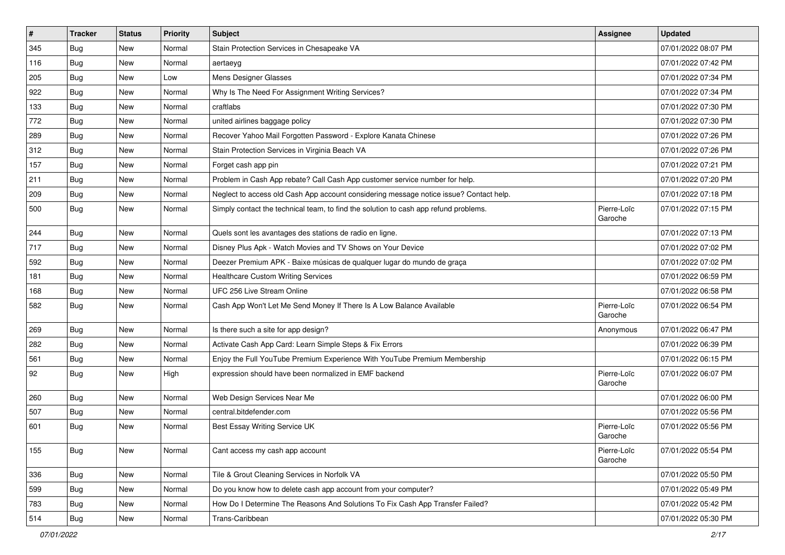| $\vert$ # | <b>Tracker</b> | <b>Status</b> | Priority | <b>Subject</b>                                                                         | <b>Assignee</b>        | <b>Updated</b>      |
|-----------|----------------|---------------|----------|----------------------------------------------------------------------------------------|------------------------|---------------------|
| 345       | <b>Bug</b>     | New           | Normal   | Stain Protection Services in Chesapeake VA                                             |                        | 07/01/2022 08:07 PM |
| 116       | <b>Bug</b>     | New           | Normal   | aertaeyg                                                                               |                        | 07/01/2022 07:42 PM |
| 205       | Bug            | New           | Low      | Mens Designer Glasses                                                                  |                        | 07/01/2022 07:34 PM |
| 922       | <b>Bug</b>     | New           | Normal   | Why Is The Need For Assignment Writing Services?                                       |                        | 07/01/2022 07:34 PM |
| 133       | <b>Bug</b>     | New           | Normal   | craftlabs                                                                              |                        | 07/01/2022 07:30 PM |
| 772       | Bug            | New           | Normal   | united airlines baggage policy                                                         |                        | 07/01/2022 07:30 PM |
| 289       | Bug            | New           | Normal   | Recover Yahoo Mail Forgotten Password - Explore Kanata Chinese                         |                        | 07/01/2022 07:26 PM |
| 312       | Bug            | New           | Normal   | Stain Protection Services in Virginia Beach VA                                         |                        | 07/01/2022 07:26 PM |
| 157       | <b>Bug</b>     | New           | Normal   | Forget cash app pin                                                                    |                        | 07/01/2022 07:21 PM |
| 211       | Bug            | New           | Normal   | Problem in Cash App rebate? Call Cash App customer service number for help.            |                        | 07/01/2022 07:20 PM |
| 209       | Bug            | New           | Normal   | Neglect to access old Cash App account considering message notice issue? Contact help. |                        | 07/01/2022 07:18 PM |
| 500       | <b>Bug</b>     | New           | Normal   | Simply contact the technical team, to find the solution to cash app refund problems.   | Pierre-Loïc<br>Garoche | 07/01/2022 07:15 PM |
| 244       | Bug            | New           | Normal   | Quels sont les avantages des stations de radio en ligne.                               |                        | 07/01/2022 07:13 PM |
| 717       | <b>Bug</b>     | New           | Normal   | Disney Plus Apk - Watch Movies and TV Shows on Your Device                             |                        | 07/01/2022 07:02 PM |
| 592       | <b>Bug</b>     | New           | Normal   | Deezer Premium APK - Baixe músicas de qualquer lugar do mundo de graça                 |                        | 07/01/2022 07:02 PM |
| 181       | <b>Bug</b>     | New           | Normal   | <b>Healthcare Custom Writing Services</b>                                              |                        | 07/01/2022 06:59 PM |
| 168       | Bug            | New           | Normal   | UFC 256 Live Stream Online                                                             |                        | 07/01/2022 06:58 PM |
| 582       | Bug            | New           | Normal   | Cash App Won't Let Me Send Money If There Is A Low Balance Available                   | Pierre-Loïc<br>Garoche | 07/01/2022 06:54 PM |
| 269       | <b>Bug</b>     | <b>New</b>    | Normal   | Is there such a site for app design?                                                   | Anonymous              | 07/01/2022 06:47 PM |
| 282       | Bug            | New           | Normal   | Activate Cash App Card: Learn Simple Steps & Fix Errors                                |                        | 07/01/2022 06:39 PM |
| 561       | <b>Bug</b>     | New           | Normal   | Enjoy the Full YouTube Premium Experience With YouTube Premium Membership              |                        | 07/01/2022 06:15 PM |
| 92        | Bug            | New           | High     | expression should have been normalized in EMF backend                                  | Pierre-Loïc<br>Garoche | 07/01/2022 06:07 PM |
| 260       | Bug            | New           | Normal   | Web Design Services Near Me                                                            |                        | 07/01/2022 06:00 PM |
| 507       | Bug            | New           | Normal   | central.bitdefender.com                                                                |                        | 07/01/2022 05:56 PM |
| 601       | Bug            | New           | Normal   | Best Essay Writing Service UK                                                          | Pierre-Loïc<br>Garoche | 07/01/2022 05:56 PM |
| 155       | <b>Bug</b>     | New           | Normal   | Cant access my cash app account                                                        | Pierre-Loïc<br>Garoche | 07/01/2022 05:54 PM |
| 336       | Bug            | New           | Normal   | Tile & Grout Cleaning Services in Norfolk VA                                           |                        | 07/01/2022 05:50 PM |
| 599       | Bug            | New           | Normal   | Do you know how to delete cash app account from your computer?                         |                        | 07/01/2022 05:49 PM |
| 783       | <b>Bug</b>     | New           | Normal   | How Do I Determine The Reasons And Solutions To Fix Cash App Transfer Failed?          |                        | 07/01/2022 05:42 PM |
| 514       | <b>Bug</b>     | New           | Normal   | Trans-Caribbean                                                                        |                        | 07/01/2022 05:30 PM |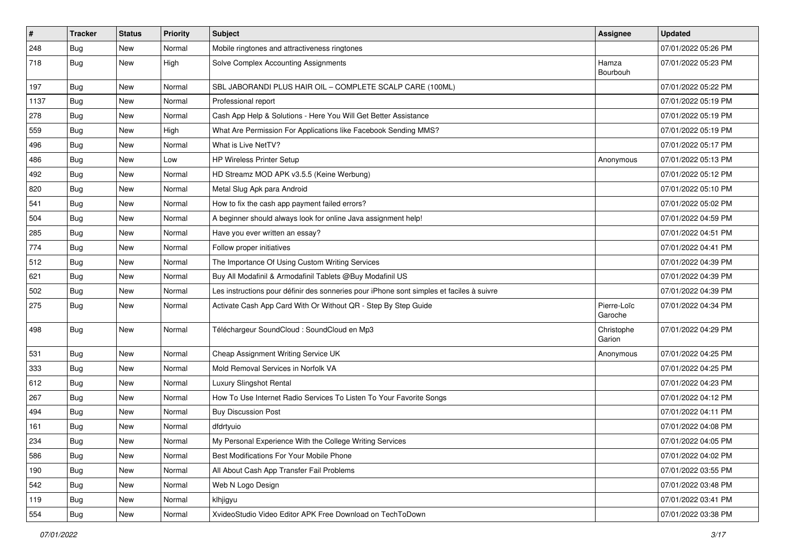| $\vert$ # | <b>Tracker</b> | <b>Status</b> | Priority | <b>Subject</b>                                                                           | <b>Assignee</b>        | <b>Updated</b>      |
|-----------|----------------|---------------|----------|------------------------------------------------------------------------------------------|------------------------|---------------------|
| 248       | <b>Bug</b>     | New           | Normal   | Mobile ringtones and attractiveness ringtones                                            |                        | 07/01/2022 05:26 PM |
| 718       | Bug            | New           | High     | Solve Complex Accounting Assignments                                                     | Hamza<br>Bourbouh      | 07/01/2022 05:23 PM |
| 197       | <b>Bug</b>     | New           | Normal   | SBL JABORANDI PLUS HAIR OIL - COMPLETE SCALP CARE (100ML)                                |                        | 07/01/2022 05:22 PM |
| 1137      | Bug            | New           | Normal   | Professional report                                                                      |                        | 07/01/2022 05:19 PM |
| 278       | <b>Bug</b>     | New           | Normal   | Cash App Help & Solutions - Here You Will Get Better Assistance                          |                        | 07/01/2022 05:19 PM |
| 559       | Bug            | New           | High     | What Are Permission For Applications like Facebook Sending MMS?                          |                        | 07/01/2022 05:19 PM |
| 496       | Bug            | New           | Normal   | What is Live NetTV?                                                                      |                        | 07/01/2022 05:17 PM |
| 486       | <b>Bug</b>     | New           | Low      | HP Wireless Printer Setup                                                                | Anonymous              | 07/01/2022 05:13 PM |
| 492       | Bug            | New           | Normal   | HD Streamz MOD APK v3.5.5 (Keine Werbung)                                                |                        | 07/01/2022 05:12 PM |
| 820       | Bug            | New           | Normal   | Metal Slug Apk para Android                                                              |                        | 07/01/2022 05:10 PM |
| 541       | <b>Bug</b>     | New           | Normal   | How to fix the cash app payment failed errors?                                           |                        | 07/01/2022 05:02 PM |
| 504       | <b>Bug</b>     | New           | Normal   | A beginner should always look for online Java assignment help!                           |                        | 07/01/2022 04:59 PM |
| 285       | Bug            | New           | Normal   | Have you ever written an essay?                                                          |                        | 07/01/2022 04:51 PM |
| 774       | <b>Bug</b>     | New           | Normal   | Follow proper initiatives                                                                |                        | 07/01/2022 04:41 PM |
| 512       | <b>Bug</b>     | New           | Normal   | The Importance Of Using Custom Writing Services                                          |                        | 07/01/2022 04:39 PM |
| 621       | <b>Bug</b>     | New           | Normal   | Buy All Modafinil & Armodafinil Tablets @Buy Modafinil US                                |                        | 07/01/2022 04:39 PM |
| 502       | Bug            | New           | Normal   | Les instructions pour définir des sonneries pour iPhone sont simples et faciles à suivre |                        | 07/01/2022 04:39 PM |
| 275       | Bug            | New           | Normal   | Activate Cash App Card With Or Without QR - Step By Step Guide                           | Pierre-Loïc<br>Garoche | 07/01/2022 04:34 PM |
| 498       | Bug            | New           | Normal   | Téléchargeur SoundCloud : SoundCloud en Mp3                                              | Christophe<br>Garion   | 07/01/2022 04:29 PM |
| 531       | <b>Bug</b>     | New           | Normal   | Cheap Assignment Writing Service UK                                                      | Anonymous              | 07/01/2022 04:25 PM |
| 333       | <b>Bug</b>     | New           | Normal   | Mold Removal Services in Norfolk VA                                                      |                        | 07/01/2022 04:25 PM |
| 612       | <b>Bug</b>     | New           | Normal   | Luxury Slingshot Rental                                                                  |                        | 07/01/2022 04:23 PM |
| 267       | Bug            | New           | Normal   | How To Use Internet Radio Services To Listen To Your Favorite Songs                      |                        | 07/01/2022 04:12 PM |
| 494       | <b>Bug</b>     | New           | Normal   | <b>Buy Discussion Post</b>                                                               |                        | 07/01/2022 04:11 PM |
| 161       | Bug            | New           | Normal   | dfdrtyuio                                                                                |                        | 07/01/2022 04:08 PM |
| 234       | <b>Bug</b>     | New           | Normal   | My Personal Experience With the College Writing Services                                 |                        | 07/01/2022 04:05 PM |
| 586       | Bug            | New           | Normal   | Best Modifications For Your Mobile Phone                                                 |                        | 07/01/2022 04:02 PM |
| 190       | <b>Bug</b>     | New           | Normal   | All About Cash App Transfer Fail Problems                                                |                        | 07/01/2022 03:55 PM |
| 542       | Bug            | New           | Normal   | Web N Logo Design                                                                        |                        | 07/01/2022 03:48 PM |
| 119       | Bug            | New           | Normal   | klhjigyu                                                                                 |                        | 07/01/2022 03:41 PM |
| 554       | <b>Bug</b>     | New           | Normal   | XvideoStudio Video Editor APK Free Download on TechToDown                                |                        | 07/01/2022 03:38 PM |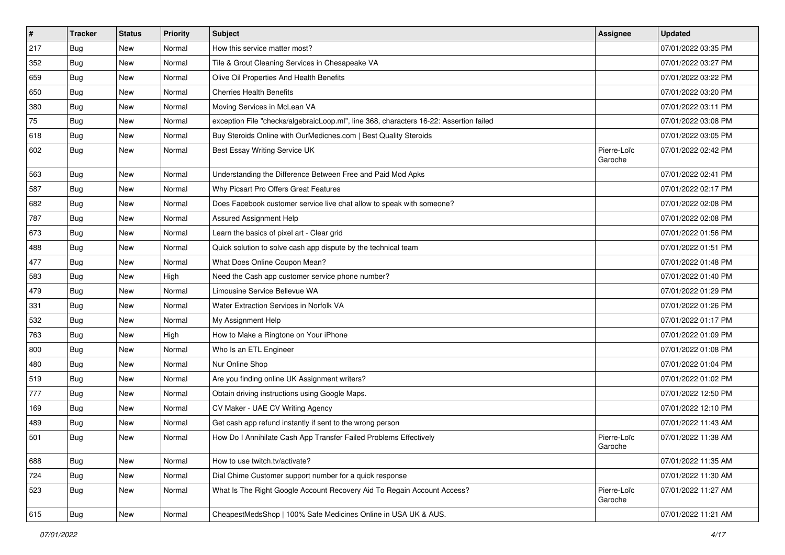| $\vert$ # | <b>Tracker</b> | <b>Status</b> | Priority | Subject                                                                                | <b>Assignee</b>        | <b>Updated</b>      |
|-----------|----------------|---------------|----------|----------------------------------------------------------------------------------------|------------------------|---------------------|
| 217       | <b>Bug</b>     | New           | Normal   | How this service matter most?                                                          |                        | 07/01/2022 03:35 PM |
| 352       | Bug            | New           | Normal   | Tile & Grout Cleaning Services in Chesapeake VA                                        |                        | 07/01/2022 03:27 PM |
| 659       | Bug            | New           | Normal   | Olive Oil Properties And Health Benefits                                               |                        | 07/01/2022 03:22 PM |
| 650       | <b>Bug</b>     | <b>New</b>    | Normal   | <b>Cherries Health Benefits</b>                                                        |                        | 07/01/2022 03:20 PM |
| 380       | <b>Bug</b>     | New           | Normal   | Moving Services in McLean VA                                                           |                        | 07/01/2022 03:11 PM |
| 75        | <b>Bug</b>     | New           | Normal   | exception File "checks/algebraicLoop.ml", line 368, characters 16-22: Assertion failed |                        | 07/01/2022 03:08 PM |
| 618       | Bug            | New           | Normal   | Buy Steroids Online with OurMedicnes.com   Best Quality Steroids                       |                        | 07/01/2022 03:05 PM |
| 602       | Bug            | New           | Normal   | Best Essay Writing Service UK                                                          | Pierre-Loïc<br>Garoche | 07/01/2022 02:42 PM |
| 563       | Bug            | <b>New</b>    | Normal   | Understanding the Difference Between Free and Paid Mod Apks                            |                        | 07/01/2022 02:41 PM |
| 587       | Bug            | New           | Normal   | Why Picsart Pro Offers Great Features                                                  |                        | 07/01/2022 02:17 PM |
| 682       | <b>Bug</b>     | <b>New</b>    | Normal   | Does Facebook customer service live chat allow to speak with someone?                  |                        | 07/01/2022 02:08 PM |
| 787       | Bug            | New           | Normal   | <b>Assured Assignment Help</b>                                                         |                        | 07/01/2022 02:08 PM |
| 673       | <b>Bug</b>     | New           | Normal   | Learn the basics of pixel art - Clear grid                                             |                        | 07/01/2022 01:56 PM |
| 488       | Bug            | <b>New</b>    | Normal   | Quick solution to solve cash app dispute by the technical team                         |                        | 07/01/2022 01:51 PM |
| 477       | <b>Bug</b>     | New           | Normal   | What Does Online Coupon Mean?                                                          |                        | 07/01/2022 01:48 PM |
| 583       | <b>Bug</b>     | New           | High     | Need the Cash app customer service phone number?                                       |                        | 07/01/2022 01:40 PM |
| 479       | Bug            | New           | Normal   | Limousine Service Bellevue WA                                                          |                        | 07/01/2022 01:29 PM |
| 331       | <b>Bug</b>     | New           | Normal   | Water Extraction Services in Norfolk VA                                                |                        | 07/01/2022 01:26 PM |
| 532       | Bug            | New           | Normal   | My Assignment Help                                                                     |                        | 07/01/2022 01:17 PM |
| 763       | Bug            | New           | High     | How to Make a Ringtone on Your iPhone                                                  |                        | 07/01/2022 01:09 PM |
| 800       | <b>Bug</b>     | New           | Normal   | Who Is an ETL Engineer                                                                 |                        | 07/01/2022 01:08 PM |
| 480       | Bug            | New           | Normal   | Nur Online Shop                                                                        |                        | 07/01/2022 01:04 PM |
| 519       | <b>Bug</b>     | New           | Normal   | Are you finding online UK Assignment writers?                                          |                        | 07/01/2022 01:02 PM |
| 777       | <b>Bug</b>     | New           | Normal   | Obtain driving instructions using Google Maps.                                         |                        | 07/01/2022 12:50 PM |
| 169       | Bug            | New           | Normal   | CV Maker - UAE CV Writing Agency                                                       |                        | 07/01/2022 12:10 PM |
| 489       | <b>Bug</b>     | New           | Normal   | Get cash app refund instantly if sent to the wrong person                              |                        | 07/01/2022 11:43 AM |
| 501       | <b>Bug</b>     | New           | Normal   | How Do I Annihilate Cash App Transfer Failed Problems Effectively                      | Pierre-Loïc<br>Garoche | 07/01/2022 11:38 AM |
| 688       | Bug            | New           | Normal   | How to use twitch.tv/activate?                                                         |                        | 07/01/2022 11:35 AM |
| 724       | Bug            | New           | Normal   | Dial Chime Customer support number for a quick response                                |                        | 07/01/2022 11:30 AM |
| 523       | <b>Bug</b>     | New           | Normal   | What Is The Right Google Account Recovery Aid To Regain Account Access?                | Pierre-Loïc<br>Garoche | 07/01/2022 11:27 AM |
| 615       | <b>Bug</b>     | New           | Normal   | CheapestMedsShop   100% Safe Medicines Online in USA UK & AUS.                         |                        | 07/01/2022 11:21 AM |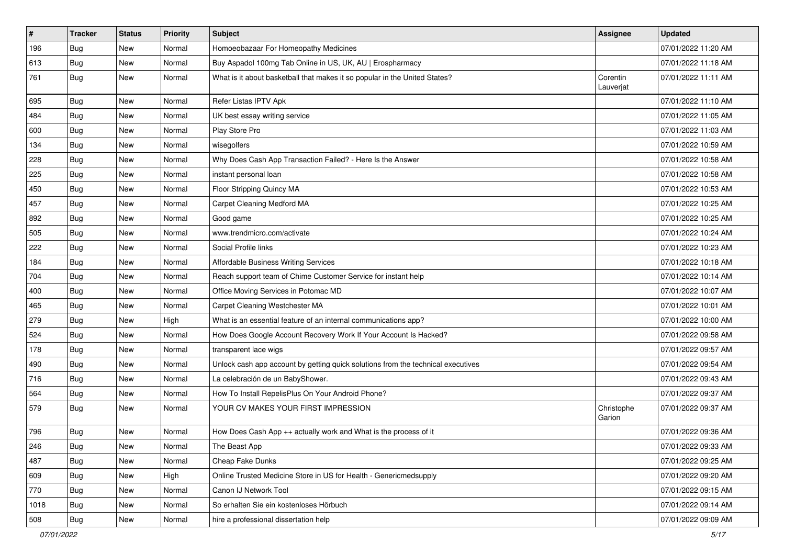| #    | <b>Tracker</b> | <b>Status</b> | Priority | <b>Subject</b>                                                                   | <b>Assignee</b>       | <b>Updated</b>      |
|------|----------------|---------------|----------|----------------------------------------------------------------------------------|-----------------------|---------------------|
| 196  | <b>Bug</b>     | New           | Normal   | Homoeobazaar For Homeopathy Medicines                                            |                       | 07/01/2022 11:20 AM |
| 613  | Bug            | <b>New</b>    | Normal   | Buy Aspadol 100mg Tab Online in US, UK, AU   Erospharmacy                        |                       | 07/01/2022 11:18 AM |
| 761  | Bug            | <b>New</b>    | Normal   | What is it about basketball that makes it so popular in the United States?       | Corentin<br>Lauverjat | 07/01/2022 11:11 AM |
| 695  | <b>Bug</b>     | <b>New</b>    | Normal   | Refer Listas IPTV Apk                                                            |                       | 07/01/2022 11:10 AM |
| 484  | <b>Bug</b>     | <b>New</b>    | Normal   | UK best essay writing service                                                    |                       | 07/01/2022 11:05 AM |
| 600  | <b>Bug</b>     | New           | Normal   | Play Store Pro                                                                   |                       | 07/01/2022 11:03 AM |
| 134  | Bug            | <b>New</b>    | Normal   | wisegolfers                                                                      |                       | 07/01/2022 10:59 AM |
| 228  | <b>Bug</b>     | New           | Normal   | Why Does Cash App Transaction Failed? - Here Is the Answer                       |                       | 07/01/2022 10:58 AM |
| 225  | <b>Bug</b>     | New           | Normal   | instant personal loan                                                            |                       | 07/01/2022 10:58 AM |
| 450  | Bug            | New           | Normal   | Floor Stripping Quincy MA                                                        |                       | 07/01/2022 10:53 AM |
| 457  | <b>Bug</b>     | New           | Normal   | Carpet Cleaning Medford MA                                                       |                       | 07/01/2022 10:25 AM |
| 892  | Bug            | <b>New</b>    | Normal   | Good game                                                                        |                       | 07/01/2022 10:25 AM |
| 505  | <b>Bug</b>     | New           | Normal   | www.trendmicro.com/activate                                                      |                       | 07/01/2022 10:24 AM |
| 222  | <b>Bug</b>     | New           | Normal   | Social Profile links                                                             |                       | 07/01/2022 10:23 AM |
| 184  | <b>Bug</b>     | New           | Normal   | Affordable Business Writing Services                                             |                       | 07/01/2022 10:18 AM |
| 704  | <b>Bug</b>     | New           | Normal   | Reach support team of Chime Customer Service for instant help                    |                       | 07/01/2022 10:14 AM |
| 400  | Bug            | <b>New</b>    | Normal   | Office Moving Services in Potomac MD                                             |                       | 07/01/2022 10:07 AM |
| 465  | <b>Bug</b>     | New           | Normal   | Carpet Cleaning Westchester MA                                                   |                       | 07/01/2022 10:01 AM |
| 279  | <b>Bug</b>     | New           | High     | What is an essential feature of an internal communications app?                  |                       | 07/01/2022 10:00 AM |
| 524  | <b>Bug</b>     | <b>New</b>    | Normal   | How Does Google Account Recovery Work If Your Account Is Hacked?                 |                       | 07/01/2022 09:58 AM |
| 178  | <b>Bug</b>     | New           | Normal   | transparent lace wigs                                                            |                       | 07/01/2022 09:57 AM |
| 490  | Bug            | New           | Normal   | Unlock cash app account by getting quick solutions from the technical executives |                       | 07/01/2022 09:54 AM |
| 716  | <b>Bug</b>     | New           | Normal   | La celebración de un BabyShower.                                                 |                       | 07/01/2022 09:43 AM |
| 564  | <b>Bug</b>     | New           | Normal   | How To Install RepelisPlus On Your Android Phone?                                |                       | 07/01/2022 09:37 AM |
| 579  | Bug            | New           | Normal   | YOUR CV MAKES YOUR FIRST IMPRESSION                                              | Christophe<br>Garion  | 07/01/2022 09:37 AM |
| 796  | Bug            | New           | Normal   | How Does Cash App ++ actually work and What is the process of it                 |                       | 07/01/2022 09:36 AM |
| 246  | Bug            | New           | Normal   | The Beast App                                                                    |                       | 07/01/2022 09:33 AM |
| 487  | Bug            | <b>New</b>    | Normal   | Cheap Fake Dunks                                                                 |                       | 07/01/2022 09:25 AM |
| 609  | Bug            | New           | High     | Online Trusted Medicine Store in US for Health - Genericmedsupply                |                       | 07/01/2022 09:20 AM |
| 770  | <b>Bug</b>     | New           | Normal   | Canon IJ Network Tool                                                            |                       | 07/01/2022 09:15 AM |
| 1018 | <b>Bug</b>     | New           | Normal   | So erhalten Sie ein kostenloses Hörbuch                                          |                       | 07/01/2022 09:14 AM |
| 508  | <b>Bug</b>     | New           | Normal   | hire a professional dissertation help                                            |                       | 07/01/2022 09:09 AM |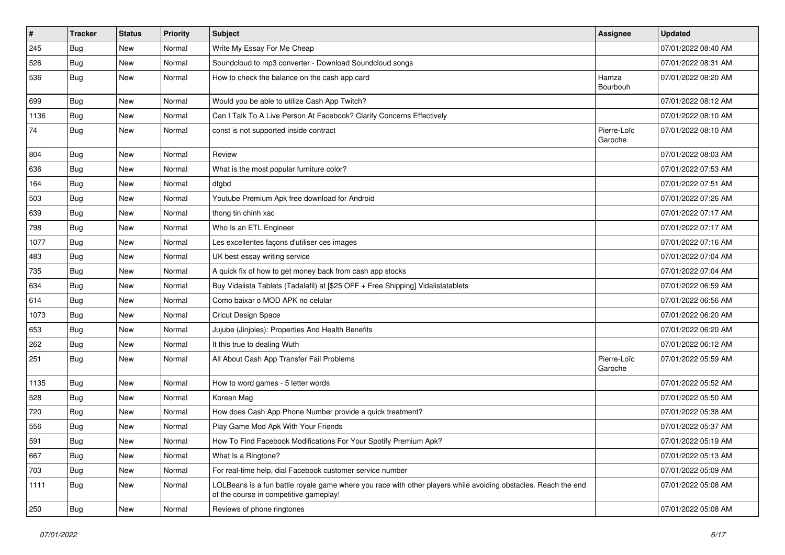| $\pmb{\#}$ | Tracker    | <b>Status</b> | <b>Priority</b> | Subject                                                                                                                                                  | <b>Assignee</b>        | <b>Updated</b>      |
|------------|------------|---------------|-----------------|----------------------------------------------------------------------------------------------------------------------------------------------------------|------------------------|---------------------|
| 245        | <b>Bug</b> | New           | Normal          | Write My Essay For Me Cheap                                                                                                                              |                        | 07/01/2022 08:40 AM |
| 526        | <b>Bug</b> | New           | Normal          | Soundcloud to mp3 converter - Download Soundcloud songs                                                                                                  |                        | 07/01/2022 08:31 AM |
| 536        | <b>Bug</b> | New           | Normal          | How to check the balance on the cash app card                                                                                                            | Hamza<br>Bourbouh      | 07/01/2022 08:20 AM |
| 699        | Bug        | <b>New</b>    | Normal          | Would you be able to utilize Cash App Twitch?                                                                                                            |                        | 07/01/2022 08:12 AM |
| 1136       | <b>Bug</b> | New           | Normal          | Can I Talk To A Live Person At Facebook? Clarify Concerns Effectively                                                                                    |                        | 07/01/2022 08:10 AM |
| 74         | <b>Bug</b> | New           | Normal          | const is not supported inside contract                                                                                                                   | Pierre-Loïc<br>Garoche | 07/01/2022 08:10 AM |
| 804        | <b>Bug</b> | <b>New</b>    | Normal          | Review                                                                                                                                                   |                        | 07/01/2022 08:03 AM |
| 636        | <b>Bug</b> | New           | Normal          | What is the most popular furniture color?                                                                                                                |                        | 07/01/2022 07:53 AM |
| 164        | Bug        | New           | Normal          | dfgbd                                                                                                                                                    |                        | 07/01/2022 07:51 AM |
| 503        | Bug        | New           | Normal          | Youtube Premium Apk free download for Android                                                                                                            |                        | 07/01/2022 07:26 AM |
| 639        | Bug        | New           | Normal          | thong tin chinh xac                                                                                                                                      |                        | 07/01/2022 07:17 AM |
| 798        | <b>Bug</b> | New           | Normal          | Who Is an ETL Engineer                                                                                                                                   |                        | 07/01/2022 07:17 AM |
| 1077       | <b>Bug</b> | New           | Normal          | Les excellentes façons d'utiliser ces images                                                                                                             |                        | 07/01/2022 07:16 AM |
| 483        | <b>Bug</b> | New           | Normal          | UK best essay writing service                                                                                                                            |                        | 07/01/2022 07:04 AM |
| 735        | <b>Bug</b> | New           | Normal          | A quick fix of how to get money back from cash app stocks                                                                                                |                        | 07/01/2022 07:04 AM |
| 634        | Bug        | <b>New</b>    | Normal          | Buy Vidalista Tablets (Tadalafil) at [\$25 OFF + Free Shipping] Vidalistatablets                                                                         |                        | 07/01/2022 06:59 AM |
| 614        | <b>Bug</b> | New           | Normal          | Como baixar o MOD APK no celular                                                                                                                         |                        | 07/01/2022 06:56 AM |
| 1073       | Bug        | New           | Normal          | <b>Cricut Design Space</b>                                                                                                                               |                        | 07/01/2022 06:20 AM |
| 653        | <b>Bug</b> | New           | Normal          | Jujube (Jinjoles): Properties And Health Benefits                                                                                                        |                        | 07/01/2022 06:20 AM |
| 262        | <b>Bug</b> | New           | Normal          | It this true to dealing Wuth                                                                                                                             |                        | 07/01/2022 06:12 AM |
| 251        | Bug        | New           | Normal          | All About Cash App Transfer Fail Problems                                                                                                                | Pierre-Loïc<br>Garoche | 07/01/2022 05:59 AM |
| 1135       | <b>Bug</b> | New           | Normal          | How to word games - 5 letter words                                                                                                                       |                        | 07/01/2022 05:52 AM |
| 528        | Bug        | New           | Normal          | Korean Mag                                                                                                                                               |                        | 07/01/2022 05:50 AM |
| 720        | Bug        | New           | Normal          | How does Cash App Phone Number provide a quick treatment?                                                                                                |                        | 07/01/2022 05:38 AM |
| 556        | <b>Bug</b> | New           | Normal          | Play Game Mod Apk With Your Friends                                                                                                                      |                        | 07/01/2022 05:37 AM |
| 591        | Bug        | New           | Normal          | How To Find Facebook Modifications For Your Spotify Premium Apk?                                                                                         |                        | 07/01/2022 05:19 AM |
| 667        | <b>Bug</b> | New           | Normal          | What Is a Ringtone?                                                                                                                                      |                        | 07/01/2022 05:13 AM |
| 703        | <b>Bug</b> | New           | Normal          | For real-time help, dial Facebook customer service number                                                                                                |                        | 07/01/2022 05:09 AM |
| 1111       | Bug        | New           | Normal          | LOLBeans is a fun battle royale game where you race with other players while avoiding obstacles. Reach the end<br>of the course in competitive gameplay! |                        | 07/01/2022 05:08 AM |
| 250        | <b>Bug</b> | New           | Normal          | Reviews of phone ringtones                                                                                                                               |                        | 07/01/2022 05:08 AM |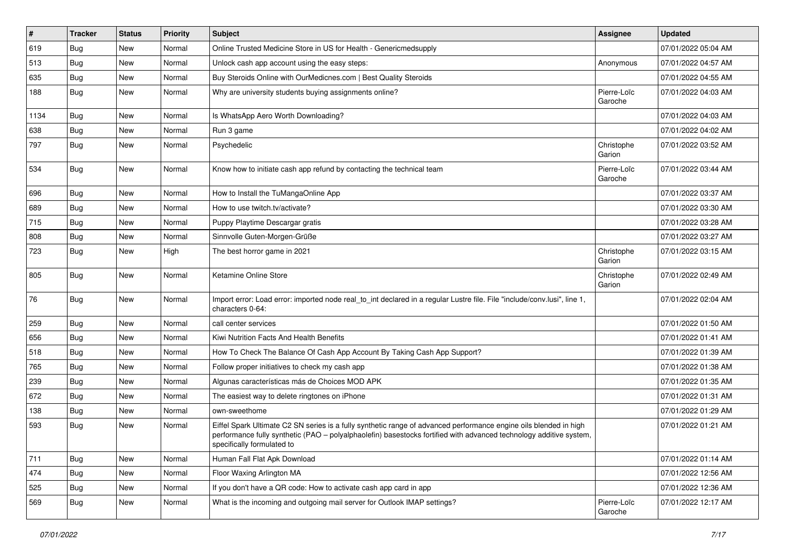| $\vert$ # | <b>Tracker</b> | <b>Status</b> | <b>Priority</b> | <b>Subject</b>                                                                                                                                                                                                                                                        | <b>Assignee</b>        | <b>Updated</b>      |
|-----------|----------------|---------------|-----------------|-----------------------------------------------------------------------------------------------------------------------------------------------------------------------------------------------------------------------------------------------------------------------|------------------------|---------------------|
| 619       | <b>Bug</b>     | New           | Normal          | Online Trusted Medicine Store in US for Health - Genericmedsupply                                                                                                                                                                                                     |                        | 07/01/2022 05:04 AM |
| 513       | Bug            | <b>New</b>    | Normal          | Unlock cash app account using the easy steps:                                                                                                                                                                                                                         | Anonymous              | 07/01/2022 04:57 AM |
| 635       | Bug            | New           | Normal          | Buy Steroids Online with OurMedicnes.com   Best Quality Steroids                                                                                                                                                                                                      |                        | 07/01/2022 04:55 AM |
| 188       | Bug            | New           | Normal          | Why are university students buying assignments online?                                                                                                                                                                                                                | Pierre-Loïc<br>Garoche | 07/01/2022 04:03 AM |
| 1134      | Bug            | New           | Normal          | Is WhatsApp Aero Worth Downloading?                                                                                                                                                                                                                                   |                        | 07/01/2022 04:03 AM |
| 638       | Bug            | New           | Normal          | Run 3 game                                                                                                                                                                                                                                                            |                        | 07/01/2022 04:02 AM |
| 797       | Bug            | <b>New</b>    | Normal          | Psychedelic                                                                                                                                                                                                                                                           | Christophe<br>Garion   | 07/01/2022 03:52 AM |
| 534       | Bug            | New           | Normal          | Know how to initiate cash app refund by contacting the technical team                                                                                                                                                                                                 | Pierre-Loïc<br>Garoche | 07/01/2022 03:44 AM |
| 696       | Bug            | New           | Normal          | How to Install the TuMangaOnline App                                                                                                                                                                                                                                  |                        | 07/01/2022 03:37 AM |
| 689       | Bug            | New           | Normal          | How to use twitch.tv/activate?                                                                                                                                                                                                                                        |                        | 07/01/2022 03:30 AM |
| 715       | Bug            | New           | Normal          | Puppy Playtime Descargar gratis                                                                                                                                                                                                                                       |                        | 07/01/2022 03:28 AM |
| 808       | Bug            | New           | Normal          | Sinnvolle Guten-Morgen-Grüße                                                                                                                                                                                                                                          |                        | 07/01/2022 03:27 AM |
| 723       | <b>Bug</b>     | <b>New</b>    | High            | The best horror game in 2021                                                                                                                                                                                                                                          | Christophe<br>Garion   | 07/01/2022 03:15 AM |
| 805       | <b>Bug</b>     | New           | Normal          | Ketamine Online Store                                                                                                                                                                                                                                                 | Christophe<br>Garion   | 07/01/2022 02:49 AM |
| 76        | Bug            | New           | Normal          | Import error: Load error: imported node real to int declared in a regular Lustre file. File "include/conv.lusi", line 1,<br>characters 0-64:                                                                                                                          |                        | 07/01/2022 02:04 AM |
| 259       | Bug            | New           | Normal          | call center services                                                                                                                                                                                                                                                  |                        | 07/01/2022 01:50 AM |
| 656       | Bug            | <b>New</b>    | Normal          | Kiwi Nutrition Facts And Health Benefits                                                                                                                                                                                                                              |                        | 07/01/2022 01:41 AM |
| 518       | Bug            | <b>New</b>    | Normal          | How To Check The Balance Of Cash App Account By Taking Cash App Support?                                                                                                                                                                                              |                        | 07/01/2022 01:39 AM |
| 765       | Bug            | New           | Normal          | Follow proper initiatives to check my cash app                                                                                                                                                                                                                        |                        | 07/01/2022 01:38 AM |
| 239       | Bug            | New           | Normal          | Algunas características más de Choices MOD APK                                                                                                                                                                                                                        |                        | 07/01/2022 01:35 AM |
| 672       | Bug            | <b>New</b>    | Normal          | The easiest way to delete ringtones on iPhone                                                                                                                                                                                                                         |                        | 07/01/2022 01:31 AM |
| 138       | Bug            | New           | Normal          | own-sweethome                                                                                                                                                                                                                                                         |                        | 07/01/2022 01:29 AM |
| 593       | <b>Bug</b>     | New           | Normal          | Eiffel Spark Ultimate C2 SN series is a fully synthetic range of advanced performance engine oils blended in high<br>performance fully synthetic (PAO - polyalphaolefin) basestocks fortified with advanced technology additive system,<br>specifically formulated to |                        | 07/01/2022 01:21 AM |
| 711       | Bug            | New           | Normal          | Human Fall Flat Apk Download                                                                                                                                                                                                                                          |                        | 07/01/2022 01:14 AM |
| 474       | Bug            | New           | Normal          | Floor Waxing Arlington MA                                                                                                                                                                                                                                             |                        | 07/01/2022 12:56 AM |
| 525       | Bug            | New           | Normal          | If you don't have a QR code: How to activate cash app card in app                                                                                                                                                                                                     |                        | 07/01/2022 12:36 AM |
| 569       | <b>Bug</b>     | New           | Normal          | What is the incoming and outgoing mail server for Outlook IMAP settings?                                                                                                                                                                                              | Pierre-Loïc<br>Garoche | 07/01/2022 12:17 AM |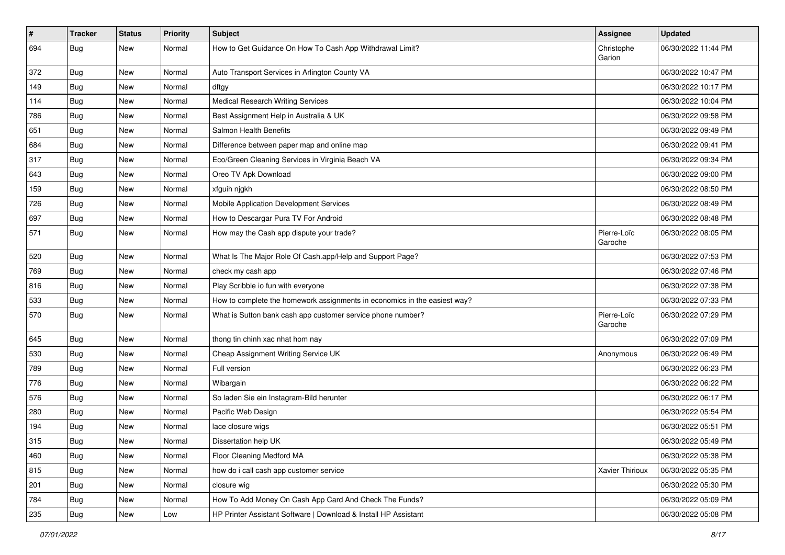| $\vert$ # | <b>Tracker</b> | <b>Status</b> | Priority | <b>Subject</b>                                                            | <b>Assignee</b>        | <b>Updated</b>      |
|-----------|----------------|---------------|----------|---------------------------------------------------------------------------|------------------------|---------------------|
| 694       | <b>Bug</b>     | New           | Normal   | How to Get Guidance On How To Cash App Withdrawal Limit?                  | Christophe<br>Garion   | 06/30/2022 11:44 PM |
| 372       | <b>Bug</b>     | New           | Normal   | Auto Transport Services in Arlington County VA                            |                        | 06/30/2022 10:47 PM |
| 149       | <b>Bug</b>     | New           | Normal   | dftgy                                                                     |                        | 06/30/2022 10:17 PM |
| 114       | Bug            | <b>New</b>    | Normal   | <b>Medical Research Writing Services</b>                                  |                        | 06/30/2022 10:04 PM |
| 786       | <b>Bug</b>     | New           | Normal   | Best Assignment Help in Australia & UK                                    |                        | 06/30/2022 09:58 PM |
| 651       | Bug            | New           | Normal   | Salmon Health Benefits                                                    |                        | 06/30/2022 09:49 PM |
| 684       | <b>Bug</b>     | New           | Normal   | Difference between paper map and online map                               |                        | 06/30/2022 09:41 PM |
| 317       | <b>Bug</b>     | New           | Normal   | Eco/Green Cleaning Services in Virginia Beach VA                          |                        | 06/30/2022 09:34 PM |
| 643       | <b>Bug</b>     | <b>New</b>    | Normal   | Oreo TV Apk Download                                                      |                        | 06/30/2022 09:00 PM |
| 159       | <b>Bug</b>     | New           | Normal   | xfguih njgkh                                                              |                        | 06/30/2022 08:50 PM |
| 726       | <b>Bug</b>     | New           | Normal   | Mobile Application Development Services                                   |                        | 06/30/2022 08:49 PM |
| 697       | <b>Bug</b>     | New           | Normal   | How to Descargar Pura TV For Android                                      |                        | 06/30/2022 08:48 PM |
| 571       | <b>Bug</b>     | New           | Normal   | How may the Cash app dispute your trade?                                  | Pierre-Loïc<br>Garoche | 06/30/2022 08:05 PM |
| 520       | Bug            | New           | Normal   | What Is The Major Role Of Cash.app/Help and Support Page?                 |                        | 06/30/2022 07:53 PM |
| 769       | <b>Bug</b>     | New           | Normal   | check my cash app                                                         |                        | 06/30/2022 07:46 PM |
| 816       | <b>Bug</b>     | <b>New</b>    | Normal   | Play Scribble io fun with everyone                                        |                        | 06/30/2022 07:38 PM |
| 533       | <b>Bug</b>     | New           | Normal   | How to complete the homework assignments in economics in the easiest way? |                        | 06/30/2022 07:33 PM |
| 570       | <b>Bug</b>     | New           | Normal   | What is Sutton bank cash app customer service phone number?               | Pierre-Loïc<br>Garoche | 06/30/2022 07:29 PM |
| 645       | <b>Bug</b>     | New           | Normal   | thong tin chinh xac nhat hom nay                                          |                        | 06/30/2022 07:09 PM |
| 530       | <b>Bug</b>     | <b>New</b>    | Normal   | Cheap Assignment Writing Service UK                                       | Anonymous              | 06/30/2022 06:49 PM |
| 789       | <b>Bug</b>     | New           | Normal   | Full version                                                              |                        | 06/30/2022 06:23 PM |
| 776       | <b>Bug</b>     | New           | Normal   | Wibargain                                                                 |                        | 06/30/2022 06:22 PM |
| 576       | Bug            | New           | Normal   | So laden Sie ein Instagram-Bild herunter                                  |                        | 06/30/2022 06:17 PM |
| 280       | <b>Bug</b>     | New           | Normal   | Pacific Web Design                                                        |                        | 06/30/2022 05:54 PM |
| 194       | <b>Bug</b>     | New           | Normal   | lace closure wigs                                                         |                        | 06/30/2022 05:51 PM |
| 315       | Bug            | New           | Normal   | Dissertation help UK                                                      |                        | 06/30/2022 05:49 PM |
| 460       | <b>Bug</b>     | New           | Normal   | Floor Cleaning Medford MA                                                 |                        | 06/30/2022 05:38 PM |
| 815       | Bug            | New           | Normal   | how do i call cash app customer service                                   | Xavier Thirioux        | 06/30/2022 05:35 PM |
| 201       | Bug            | New           | Normal   | closure wig                                                               |                        | 06/30/2022 05:30 PM |
| 784       | <b>Bug</b>     | New           | Normal   | How To Add Money On Cash App Card And Check The Funds?                    |                        | 06/30/2022 05:09 PM |
| 235       | Bug            | New           | Low      | HP Printer Assistant Software   Download & Install HP Assistant           |                        | 06/30/2022 05:08 PM |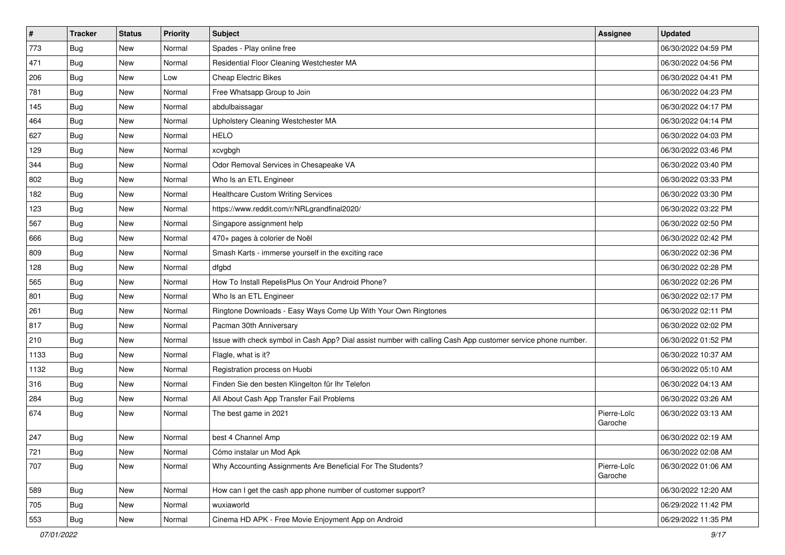| $\vert$ # | <b>Tracker</b> | <b>Status</b> | Priority | <b>Subject</b>                                                                                               | <b>Assignee</b>        | <b>Updated</b>      |
|-----------|----------------|---------------|----------|--------------------------------------------------------------------------------------------------------------|------------------------|---------------------|
| 773       | <b>Bug</b>     | New           | Normal   | Spades - Play online free                                                                                    |                        | 06/30/2022 04:59 PM |
| 471       | <b>Bug</b>     | New           | Normal   | Residential Floor Cleaning Westchester MA                                                                    |                        | 06/30/2022 04:56 PM |
| 206       | Bug            | <b>New</b>    | Low      | <b>Cheap Electric Bikes</b>                                                                                  |                        | 06/30/2022 04:41 PM |
| 781       | <b>Bug</b>     | New           | Normal   | Free Whatsapp Group to Join                                                                                  |                        | 06/30/2022 04:23 PM |
| 145       | <b>Bug</b>     | <b>New</b>    | Normal   | abdulbaissagar                                                                                               |                        | 06/30/2022 04:17 PM |
| 464       | <b>Bug</b>     | New           | Normal   | Upholstery Cleaning Westchester MA                                                                           |                        | 06/30/2022 04:14 PM |
| 627       | Bug            | New           | Normal   | <b>HELO</b>                                                                                                  |                        | 06/30/2022 04:03 PM |
| 129       | <b>Bug</b>     | New           | Normal   | xcvgbgh                                                                                                      |                        | 06/30/2022 03:46 PM |
| 344       | <b>Bug</b>     | New           | Normal   | Odor Removal Services in Chesapeake VA                                                                       |                        | 06/30/2022 03:40 PM |
| 802       | Bug            | <b>New</b>    | Normal   | Who Is an ETL Engineer                                                                                       |                        | 06/30/2022 03:33 PM |
| 182       | Bug            | New           | Normal   | <b>Healthcare Custom Writing Services</b>                                                                    |                        | 06/30/2022 03:30 PM |
| 123       | <b>Bug</b>     | New           | Normal   | https://www.reddit.com/r/NRLgrandfinal2020/                                                                  |                        | 06/30/2022 03:22 PM |
| 567       | Bug            | <b>New</b>    | Normal   | Singapore assignment help                                                                                    |                        | 06/30/2022 02:50 PM |
| 666       | <b>Bug</b>     | <b>New</b>    | Normal   | 470+ pages à colorier de Noël                                                                                |                        | 06/30/2022 02:42 PM |
| 809       | Bug            | New           | Normal   | Smash Karts - immerse yourself in the exciting race                                                          |                        | 06/30/2022 02:36 PM |
| 128       | Bug            | New           | Normal   | dfgbd                                                                                                        |                        | 06/30/2022 02:28 PM |
| 565       | <b>Bug</b>     | New           | Normal   | How To Install RepelisPlus On Your Android Phone?                                                            |                        | 06/30/2022 02:26 PM |
| 801       | <b>Bug</b>     | <b>New</b>    | Normal   | Who Is an ETL Engineer                                                                                       |                        | 06/30/2022 02:17 PM |
| 261       | <b>Bug</b>     | New           | Normal   | Ringtone Downloads - Easy Ways Come Up With Your Own Ringtones                                               |                        | 06/30/2022 02:11 PM |
| 817       | Bug            | New           | Normal   | Pacman 30th Anniversary                                                                                      |                        | 06/30/2022 02:02 PM |
| 210       | <b>Bug</b>     | New           | Normal   | Issue with check symbol in Cash App? Dial assist number with calling Cash App customer service phone number. |                        | 06/30/2022 01:52 PM |
| 1133      | Bug            | New           | Normal   | Flagle, what is it?                                                                                          |                        | 06/30/2022 10:37 AM |
| 1132      | Bug            | <b>New</b>    | Normal   | Registration process on Huobi                                                                                |                        | 06/30/2022 05:10 AM |
| 316       | Bug            | New           | Normal   | Finden Sie den besten Klingelton für Ihr Telefon                                                             |                        | 06/30/2022 04:13 AM |
| 284       | <b>Bug</b>     | New           | Normal   | All About Cash App Transfer Fail Problems                                                                    |                        | 06/30/2022 03:26 AM |
| 674       | Bug            | New           | Normal   | The best game in 2021                                                                                        | Pierre-Loïc<br>Garoche | 06/30/2022 03:13 AM |
| 247       | <b>Bug</b>     | New           | Normal   | best 4 Channel Amp                                                                                           |                        | 06/30/2022 02:19 AM |
| 721       | Bug            | New           | Normal   | Cómo instalar un Mod Apk                                                                                     |                        | 06/30/2022 02:08 AM |
| 707       | <b>Bug</b>     | New           | Normal   | Why Accounting Assignments Are Beneficial For The Students?                                                  | Pierre-Loïc<br>Garoche | 06/30/2022 01:06 AM |
| 589       | Bug            | New           | Normal   | How can I get the cash app phone number of customer support?                                                 |                        | 06/30/2022 12:20 AM |
| 705       | <b>Bug</b>     | New           | Normal   | wuxiaworld                                                                                                   |                        | 06/29/2022 11:42 PM |
| 553       | <b>Bug</b>     | New           | Normal   | Cinema HD APK - Free Movie Enjoyment App on Android                                                          |                        | 06/29/2022 11:35 PM |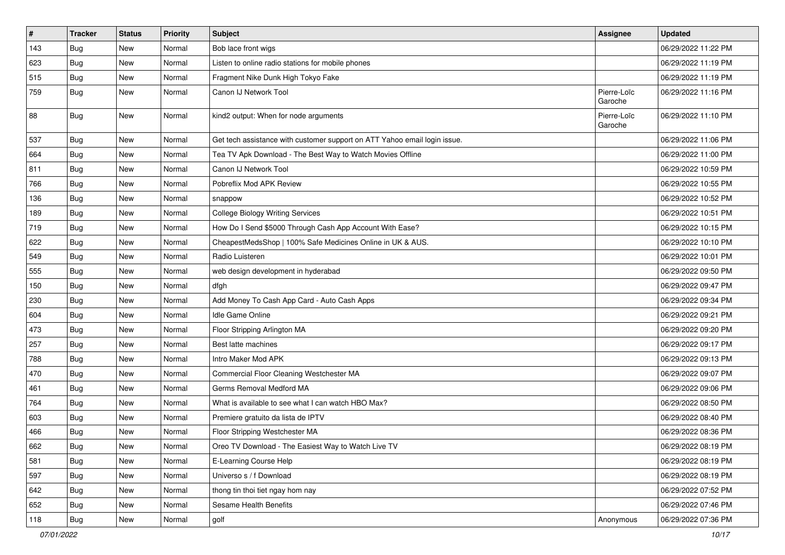| $\vert$ # | <b>Tracker</b> | <b>Status</b> | Priority | <b>Subject</b>                                                            | <b>Assignee</b>        | <b>Updated</b>      |
|-----------|----------------|---------------|----------|---------------------------------------------------------------------------|------------------------|---------------------|
| 143       | Bug            | New           | Normal   | Bob lace front wigs                                                       |                        | 06/29/2022 11:22 PM |
| 623       | Bug            | <b>New</b>    | Normal   | Listen to online radio stations for mobile phones                         |                        | 06/29/2022 11:19 PM |
| 515       | Bug            | New           | Normal   | Fragment Nike Dunk High Tokyo Fake                                        |                        | 06/29/2022 11:19 PM |
| 759       | <b>Bug</b>     | New           | Normal   | Canon IJ Network Tool                                                     | Pierre-Loïc<br>Garoche | 06/29/2022 11:16 PM |
| 88        | Bug            | New           | Normal   | kind2 output: When for node arguments                                     | Pierre-Loïc<br>Garoche | 06/29/2022 11:10 PM |
| 537       | Bug            | <b>New</b>    | Normal   | Get tech assistance with customer support on ATT Yahoo email login issue. |                        | 06/29/2022 11:06 PM |
| 664       | Bug            | <b>New</b>    | Normal   | Tea TV Apk Download - The Best Way to Watch Movies Offline                |                        | 06/29/2022 11:00 PM |
| 811       | Bug            | <b>New</b>    | Normal   | Canon IJ Network Tool                                                     |                        | 06/29/2022 10:59 PM |
| 766       | Bug            | New           | Normal   | Pobreflix Mod APK Review                                                  |                        | 06/29/2022 10:55 PM |
| 136       | <b>Bug</b>     | New           | Normal   | snappow                                                                   |                        | 06/29/2022 10:52 PM |
| 189       | Bug            | <b>New</b>    | Normal   | College Biology Writing Services                                          |                        | 06/29/2022 10:51 PM |
| 719       | <b>Bug</b>     | New           | Normal   | How Do I Send \$5000 Through Cash App Account With Ease?                  |                        | 06/29/2022 10:15 PM |
| 622       | Bug            | <b>New</b>    | Normal   | CheapestMedsShop   100% Safe Medicines Online in UK & AUS.                |                        | 06/29/2022 10:10 PM |
| 549       | <b>Bug</b>     | New           | Normal   | Radio Luisteren                                                           |                        | 06/29/2022 10:01 PM |
| 555       | Bug            | New           | Normal   | web design development in hyderabad                                       |                        | 06/29/2022 09:50 PM |
| 150       | Bug            | <b>New</b>    | Normal   | dfgh                                                                      |                        | 06/29/2022 09:47 PM |
| 230       | <b>Bug</b>     | New           | Normal   | Add Money To Cash App Card - Auto Cash Apps                               |                        | 06/29/2022 09:34 PM |
| 604       | Bug            | <b>New</b>    | Normal   | Idle Game Online                                                          |                        | 06/29/2022 09:21 PM |
| 473       | <b>Bug</b>     | New           | Normal   | Floor Stripping Arlington MA                                              |                        | 06/29/2022 09:20 PM |
| 257       | <b>Bug</b>     | New           | Normal   | Best latte machines                                                       |                        | 06/29/2022 09:17 PM |
| 788       | Bug            | <b>New</b>    | Normal   | Intro Maker Mod APK                                                       |                        | 06/29/2022 09:13 PM |
| 470       | <b>Bug</b>     | New           | Normal   | Commercial Floor Cleaning Westchester MA                                  |                        | 06/29/2022 09:07 PM |
| 461       | <b>Bug</b>     | New           | Normal   | Germs Removal Medford MA                                                  |                        | 06/29/2022 09:06 PM |
| 764       | <b>Bug</b>     | <b>New</b>    | Normal   | What is available to see what I can watch HBO Max?                        |                        | 06/29/2022 08:50 PM |
| 603       | <b>Bug</b>     | New           | Normal   | Premiere gratuito da lista de IPTV                                        |                        | 06/29/2022 08:40 PM |
| 466       | <b>Bug</b>     | New           | Normal   | Floor Stripping Westchester MA                                            |                        | 06/29/2022 08:36 PM |
| 662       | Bug            | New           | Normal   | Oreo TV Download - The Easiest Way to Watch Live TV                       |                        | 06/29/2022 08:19 PM |
| 581       | <b>Bug</b>     | New           | Normal   | E-Learning Course Help                                                    |                        | 06/29/2022 08:19 PM |
| 597       | <b>Bug</b>     | <b>New</b>    | Normal   | Universo s / f Download                                                   |                        | 06/29/2022 08:19 PM |
| 642       | <b>Bug</b>     | New           | Normal   | thong tin thoi tiet ngay hom nay                                          |                        | 06/29/2022 07:52 PM |
| 652       | <b>Bug</b>     | New           | Normal   | Sesame Health Benefits                                                    |                        | 06/29/2022 07:46 PM |
| 118       | Bug            | New           | Normal   | golf                                                                      | Anonymous              | 06/29/2022 07:36 PM |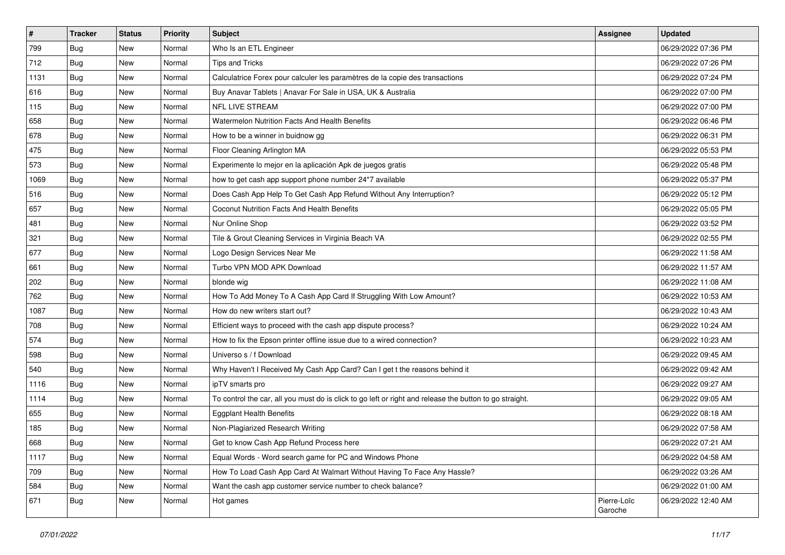| $\vert$ # | <b>Tracker</b> | <b>Status</b> | Priority | <b>Subject</b>                                                                                          | <b>Assignee</b>        | <b>Updated</b>      |
|-----------|----------------|---------------|----------|---------------------------------------------------------------------------------------------------------|------------------------|---------------------|
| 799       | <b>Bug</b>     | New           | Normal   | Who Is an ETL Engineer                                                                                  |                        | 06/29/2022 07:36 PM |
| 712       | <b>Bug</b>     | New           | Normal   | Tips and Tricks                                                                                         |                        | 06/29/2022 07:26 PM |
| 1131      | <b>Bug</b>     | New           | Normal   | Calculatrice Forex pour calculer les paramètres de la copie des transactions                            |                        | 06/29/2022 07:24 PM |
| 616       | <b>Bug</b>     | New           | Normal   | Buy Anavar Tablets   Anavar For Sale in USA, UK & Australia                                             |                        | 06/29/2022 07:00 PM |
| 115       | <b>Bug</b>     | New           | Normal   | NFL LIVE STREAM                                                                                         |                        | 06/29/2022 07:00 PM |
| 658       | <b>Bug</b>     | New           | Normal   | <b>Watermelon Nutrition Facts And Health Benefits</b>                                                   |                        | 06/29/2022 06:46 PM |
| 678       | <b>Bug</b>     | New           | Normal   | How to be a winner in buidnow gg                                                                        |                        | 06/29/2022 06:31 PM |
| 475       | <b>Bug</b>     | New           | Normal   | Floor Cleaning Arlington MA                                                                             |                        | 06/29/2022 05:53 PM |
| 573       | <b>Bug</b>     | New           | Normal   | Experimente lo mejor en la aplicación Apk de juegos gratis                                              |                        | 06/29/2022 05:48 PM |
| 1069      | Bug            | New           | Normal   | how to get cash app support phone number 24*7 available                                                 |                        | 06/29/2022 05:37 PM |
| 516       | <b>Bug</b>     | New           | Normal   | Does Cash App Help To Get Cash App Refund Without Any Interruption?                                     |                        | 06/29/2022 05:12 PM |
| 657       | Bug            | New           | Normal   | Coconut Nutrition Facts And Health Benefits                                                             |                        | 06/29/2022 05:05 PM |
| 481       | <b>Bug</b>     | New           | Normal   | Nur Online Shop                                                                                         |                        | 06/29/2022 03:52 PM |
| 321       | <b>Bug</b>     | New           | Normal   | Tile & Grout Cleaning Services in Virginia Beach VA                                                     |                        | 06/29/2022 02:55 PM |
| 677       | Bug            | New           | Normal   | Logo Design Services Near Me                                                                            |                        | 06/29/2022 11:58 AM |
| 661       | <b>Bug</b>     | New           | Normal   | Turbo VPN MOD APK Download                                                                              |                        | 06/29/2022 11:57 AM |
| 202       | <b>Bug</b>     | New           | Normal   | blonde wig                                                                                              |                        | 06/29/2022 11:08 AM |
| 762       | <b>Bug</b>     | New           | Normal   | How To Add Money To A Cash App Card If Struggling With Low Amount?                                      |                        | 06/29/2022 10:53 AM |
| 1087      | <b>Bug</b>     | New           | Normal   | How do new writers start out?                                                                           |                        | 06/29/2022 10:43 AM |
| 708       | Bug            | New           | Normal   | Efficient ways to proceed with the cash app dispute process?                                            |                        | 06/29/2022 10:24 AM |
| 574       | <b>Bug</b>     | New           | Normal   | How to fix the Epson printer offline issue due to a wired connection?                                   |                        | 06/29/2022 10:23 AM |
| 598       | Bug            | New           | Normal   | Universo s / f Download                                                                                 |                        | 06/29/2022 09:45 AM |
| 540       | Bug            | New           | Normal   | Why Haven't I Received My Cash App Card? Can I get t the reasons behind it                              |                        | 06/29/2022 09:42 AM |
| 1116      | <b>Bug</b>     | New           | Normal   | ipTV smarts pro                                                                                         |                        | 06/29/2022 09:27 AM |
| 1114      | <b>Bug</b>     | New           | Normal   | To control the car, all you must do is click to go left or right and release the button to go straight. |                        | 06/29/2022 09:05 AM |
| 655       | Bug            | New           | Normal   | <b>Eggplant Health Benefits</b>                                                                         |                        | 06/29/2022 08:18 AM |
| 185       | <b>Bug</b>     | New           | Normal   | Non-Plagiarized Research Writing                                                                        |                        | 06/29/2022 07:58 AM |
| 668       | <b>Bug</b>     | New           | Normal   | Get to know Cash App Refund Process here                                                                |                        | 06/29/2022 07:21 AM |
| 1117      | <b>Bug</b>     | New           | Normal   | Equal Words - Word search game for PC and Windows Phone                                                 |                        | 06/29/2022 04:58 AM |
| 709       | <b>Bug</b>     | New           | Normal   | How To Load Cash App Card At Walmart Without Having To Face Any Hassle?                                 |                        | 06/29/2022 03:26 AM |
| 584       | <b>Bug</b>     | New           | Normal   | Want the cash app customer service number to check balance?                                             |                        | 06/29/2022 01:00 AM |
| 671       | Bug            | New           | Normal   | Hot games                                                                                               | Pierre-Loïc<br>Garoche | 06/29/2022 12:40 AM |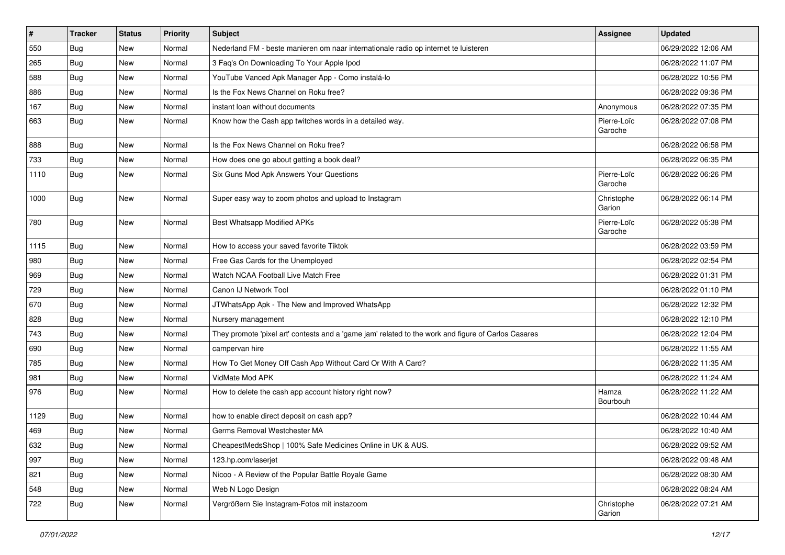| #    | <b>Tracker</b> | <b>Status</b> | Priority | <b>Subject</b>                                                                                      | <b>Assignee</b>        | <b>Updated</b>      |
|------|----------------|---------------|----------|-----------------------------------------------------------------------------------------------------|------------------------|---------------------|
| 550  | <b>Bug</b>     | New           | Normal   | Nederland FM - beste manieren om naar internationale radio op internet te luisteren                 |                        | 06/29/2022 12:06 AM |
| 265  | Bug            | <b>New</b>    | Normal   | 3 Faq's On Downloading To Your Apple Ipod                                                           |                        | 06/28/2022 11:07 PM |
| 588  | <b>Bug</b>     | New           | Normal   | YouTube Vanced Apk Manager App - Como instalá-lo                                                    |                        | 06/28/2022 10:56 PM |
| 886  | <b>Bug</b>     | New           | Normal   | Is the Fox News Channel on Roku free?                                                               |                        | 06/28/2022 09:36 PM |
| 167  | Bug            | <b>New</b>    | Normal   | instant loan without documents                                                                      | Anonymous              | 06/28/2022 07:35 PM |
| 663  | Bug            | <b>New</b>    | Normal   | Know how the Cash app twitches words in a detailed way.                                             | Pierre-Loïc<br>Garoche | 06/28/2022 07:08 PM |
| 888  | Bug            | <b>New</b>    | Normal   | Is the Fox News Channel on Roku free?                                                               |                        | 06/28/2022 06:58 PM |
| 733  | <b>Bug</b>     | New           | Normal   | How does one go about getting a book deal?                                                          |                        | 06/28/2022 06:35 PM |
| 1110 | Bug            | New           | Normal   | Six Guns Mod Apk Answers Your Questions                                                             | Pierre-Loïc<br>Garoche | 06/28/2022 06:26 PM |
| 1000 | Bug            | New           | Normal   | Super easy way to zoom photos and upload to Instagram                                               | Christophe<br>Garion   | 06/28/2022 06:14 PM |
| 780  | Bug            | <b>New</b>    | Normal   | <b>Best Whatsapp Modified APKs</b>                                                                  | Pierre-Loïc<br>Garoche | 06/28/2022 05:38 PM |
| 1115 | Bug            | <b>New</b>    | Normal   | How to access your saved favorite Tiktok                                                            |                        | 06/28/2022 03:59 PM |
| 980  | <b>Bug</b>     | New           | Normal   | Free Gas Cards for the Unemployed                                                                   |                        | 06/28/2022 02:54 PM |
| 969  | Bug            | New           | Normal   | Watch NCAA Football Live Match Free                                                                 |                        | 06/28/2022 01:31 PM |
| 729  | Bug            | <b>New</b>    | Normal   | Canon IJ Network Tool                                                                               |                        | 06/28/2022 01:10 PM |
| 670  | <b>Bug</b>     | <b>New</b>    | Normal   | JTWhatsApp Apk - The New and Improved WhatsApp                                                      |                        | 06/28/2022 12:32 PM |
| 828  | Bug            | <b>New</b>    | Normal   | Nursery management                                                                                  |                        | 06/28/2022 12:10 PM |
| 743  | <b>Bug</b>     | New           | Normal   | They promote 'pixel art' contests and a 'game jam' related to the work and figure of Carlos Casares |                        | 06/28/2022 12:04 PM |
| 690  | <b>Bug</b>     | New           | Normal   | campervan hire                                                                                      |                        | 06/28/2022 11:55 AM |
| 785  | <b>Bug</b>     | <b>New</b>    | Normal   | How To Get Money Off Cash App Without Card Or With A Card?                                          |                        | 06/28/2022 11:35 AM |
| 981  | <b>Bug</b>     | New           | Normal   | VidMate Mod APK                                                                                     |                        | 06/28/2022 11:24 AM |
| 976  | Bug            | New           | Normal   | How to delete the cash app account history right now?                                               | Hamza<br>Bourbouh      | 06/28/2022 11:22 AM |
| 1129 | <b>Bug</b>     | New           | Normal   | how to enable direct deposit on cash app?                                                           |                        | 06/28/2022 10:44 AM |
| 469  | <b>Bug</b>     | New           | Normal   | Germs Removal Westchester MA                                                                        |                        | 06/28/2022 10:40 AM |
| 632  | Bug            | New           | Normal   | CheapestMedsShop   100% Safe Medicines Online in UK & AUS.                                          |                        | 06/28/2022 09:52 AM |
| 997  | Bug            | <b>New</b>    | Normal   | 123.hp.com/laserjet                                                                                 |                        | 06/28/2022 09:48 AM |
| 821  | Bug            | New           | Normal   | Nicoo - A Review of the Popular Battle Royale Game                                                  |                        | 06/28/2022 08:30 AM |
| 548  | <b>Bug</b>     | New           | Normal   | Web N Logo Design                                                                                   |                        | 06/28/2022 08:24 AM |
| 722  | <b>Bug</b>     | New           | Normal   | Vergrößern Sie Instagram-Fotos mit instazoom                                                        | Christophe<br>Garion   | 06/28/2022 07:21 AM |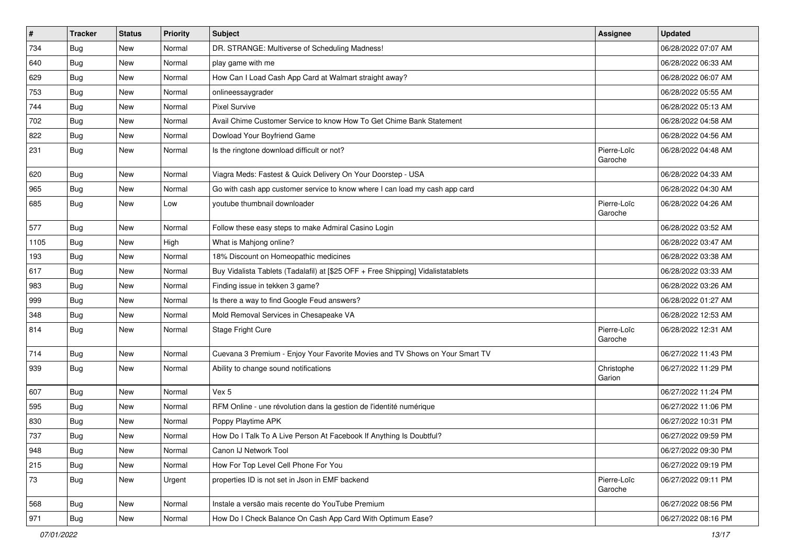| $\vert$ # | <b>Tracker</b> | <b>Status</b> | Priority | <b>Subject</b>                                                                   | <b>Assignee</b>        | <b>Updated</b>      |
|-----------|----------------|---------------|----------|----------------------------------------------------------------------------------|------------------------|---------------------|
| 734       | Bug            | New           | Normal   | DR. STRANGE: Multiverse of Scheduling Madness!                                   |                        | 06/28/2022 07:07 AM |
| 640       | Bug            | <b>New</b>    | Normal   | play game with me                                                                |                        | 06/28/2022 06:33 AM |
| 629       | Bug            | New           | Normal   | How Can I Load Cash App Card at Walmart straight away?                           |                        | 06/28/2022 06:07 AM |
| 753       | <b>Bug</b>     | New           | Normal   | onlineessaygrader                                                                |                        | 06/28/2022 05:55 AM |
| 744       | <b>Bug</b>     | New           | Normal   | <b>Pixel Survive</b>                                                             |                        | 06/28/2022 05:13 AM |
| 702       | <b>Bug</b>     | New           | Normal   | Avail Chime Customer Service to know How To Get Chime Bank Statement             |                        | 06/28/2022 04:58 AM |
| 822       | <b>Bug</b>     | New           | Normal   | Dowload Your Boyfriend Game                                                      |                        | 06/28/2022 04:56 AM |
| 231       | Bug            | New           | Normal   | Is the ringtone download difficult or not?                                       | Pierre-Loïc<br>Garoche | 06/28/2022 04:48 AM |
| 620       | Bug            | New           | Normal   | Viagra Meds: Fastest & Quick Delivery On Your Doorstep - USA                     |                        | 06/28/2022 04:33 AM |
| 965       | Bug            | New           | Normal   | Go with cash app customer service to know where I can load my cash app card      |                        | 06/28/2022 04:30 AM |
| 685       | <b>Bug</b>     | New           | Low      | youtube thumbnail downloader                                                     | Pierre-Loïc<br>Garoche | 06/28/2022 04:26 AM |
| 577       | <b>Bug</b>     | New           | Normal   | Follow these easy steps to make Admiral Casino Login                             |                        | 06/28/2022 03:52 AM |
| 1105      | <b>Bug</b>     | New           | High     | What is Mahjong online?                                                          |                        | 06/28/2022 03:47 AM |
| 193       | <b>Bug</b>     | New           | Normal   | 18% Discount on Homeopathic medicines                                            |                        | 06/28/2022 03:38 AM |
| 617       | <b>Bug</b>     | New           | Normal   | Buy Vidalista Tablets (Tadalafil) at [\$25 OFF + Free Shipping] Vidalistatablets |                        | 06/28/2022 03:33 AM |
| 983       | Bug            | New           | Normal   | Finding issue in tekken 3 game?                                                  |                        | 06/28/2022 03:26 AM |
| 999       | Bug            | New           | Normal   | Is there a way to find Google Feud answers?                                      |                        | 06/28/2022 01:27 AM |
| 348       | Bug            | New           | Normal   | Mold Removal Services in Chesapeake VA                                           |                        | 06/28/2022 12:53 AM |
| 814       | <b>Bug</b>     | New           | Normal   | Stage Fright Cure                                                                | Pierre-Loïc<br>Garoche | 06/28/2022 12:31 AM |
| 714       | <b>Bug</b>     | <b>New</b>    | Normal   | Cuevana 3 Premium - Enjoy Your Favorite Movies and TV Shows on Your Smart TV     |                        | 06/27/2022 11:43 PM |
| 939       | Bug            | New           | Normal   | Ability to change sound notifications                                            | Christophe<br>Garion   | 06/27/2022 11:29 PM |
| 607       | Bug            | New           | Normal   | Vex 5                                                                            |                        | 06/27/2022 11:24 PM |
| 595       | <b>Bug</b>     | New           | Normal   | RFM Online - une révolution dans la gestion de l'identité numérique              |                        | 06/27/2022 11:06 PM |
| 830       | Bug            | New           | Normal   | Poppy Playtime APK                                                               |                        | 06/27/2022 10:31 PM |
| 737       | <b>Bug</b>     | New           | Normal   | How Do I Talk To A Live Person At Facebook If Anything Is Doubtful?              |                        | 06/27/2022 09:59 PM |
| 948       | Bug            | New           | Normal   | Canon IJ Network Tool                                                            |                        | 06/27/2022 09:30 PM |
| 215       | Bug            | New           | Normal   | How For Top Level Cell Phone For You                                             |                        | 06/27/2022 09:19 PM |
| 73        | <b>Bug</b>     | New           | Urgent   | properties ID is not set in Json in EMF backend                                  | Pierre-Loïc<br>Garoche | 06/27/2022 09:11 PM |
| 568       | Bug            | New           | Normal   | Instale a versão mais recente do YouTube Premium                                 |                        | 06/27/2022 08:56 PM |
| 971       | Bug            | New           | Normal   | How Do I Check Balance On Cash App Card With Optimum Ease?                       |                        | 06/27/2022 08:16 PM |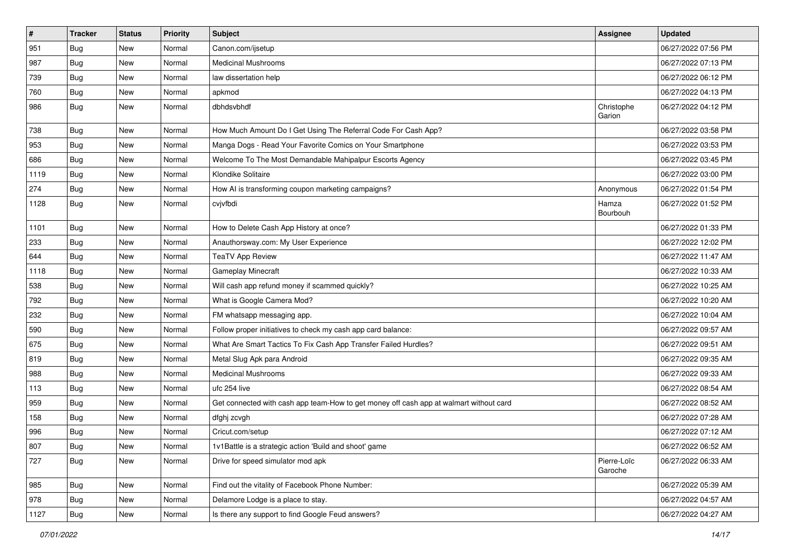| #    | <b>Tracker</b> | <b>Status</b> | Priority | <b>Subject</b>                                                                         | <b>Assignee</b>        | <b>Updated</b>      |
|------|----------------|---------------|----------|----------------------------------------------------------------------------------------|------------------------|---------------------|
| 951  | <b>Bug</b>     | New           | Normal   | Canon.com/ijsetup                                                                      |                        | 06/27/2022 07:56 PM |
| 987  | Bug            | <b>New</b>    | Normal   | <b>Medicinal Mushrooms</b>                                                             |                        | 06/27/2022 07:13 PM |
| 739  | <b>Bug</b>     | New           | Normal   | law dissertation help                                                                  |                        | 06/27/2022 06:12 PM |
| 760  | <b>Bug</b>     | New           | Normal   | apkmod                                                                                 |                        | 06/27/2022 04:13 PM |
| 986  | Bug            | New           | Normal   | dbhdsvbhdf                                                                             | Christophe<br>Garion   | 06/27/2022 04:12 PM |
| 738  | Bug            | <b>New</b>    | Normal   | How Much Amount Do I Get Using The Referral Code For Cash App?                         |                        | 06/27/2022 03:58 PM |
| 953  | Bug            | New           | Normal   | Manga Dogs - Read Your Favorite Comics on Your Smartphone                              |                        | 06/27/2022 03:53 PM |
| 686  | <b>Bug</b>     | New           | Normal   | Welcome To The Most Demandable Mahipalpur Escorts Agency                               |                        | 06/27/2022 03:45 PM |
| 1119 | Bug            | <b>New</b>    | Normal   | Klondike Solitaire                                                                     |                        | 06/27/2022 03:00 PM |
| 274  | Bug            | New           | Normal   | How AI is transforming coupon marketing campaigns?                                     | Anonymous              | 06/27/2022 01:54 PM |
| 1128 | Bug            | New           | Normal   | cvjvfbdi                                                                               | Hamza<br>Bourbouh      | 06/27/2022 01:52 PM |
| 1101 | <b>Bug</b>     | <b>New</b>    | Normal   | How to Delete Cash App History at once?                                                |                        | 06/27/2022 01:33 PM |
| 233  | Bug            | New           | Normal   | Anauthorsway.com: My User Experience                                                   |                        | 06/27/2022 12:02 PM |
| 644  | Bug            | New           | Normal   | TeaTV App Review                                                                       |                        | 06/27/2022 11:47 AM |
| 1118 | <b>Bug</b>     | New           | Normal   | Gameplay Minecraft                                                                     |                        | 06/27/2022 10:33 AM |
| 538  | <b>Bug</b>     | <b>New</b>    | Normal   | Will cash app refund money if scammed quickly?                                         |                        | 06/27/2022 10:25 AM |
| 792  | <b>Bug</b>     | New           | Normal   | What is Google Camera Mod?                                                             |                        | 06/27/2022 10:20 AM |
| 232  | <b>Bug</b>     | New           | Normal   | FM whatsapp messaging app.                                                             |                        | 06/27/2022 10:04 AM |
| 590  | <b>Bug</b>     | New           | Normal   | Follow proper initiatives to check my cash app card balance:                           |                        | 06/27/2022 09:57 AM |
| 675  | <b>Bug</b>     | New           | Normal   | What Are Smart Tactics To Fix Cash App Transfer Failed Hurdles?                        |                        | 06/27/2022 09:51 AM |
| 819  | Bug            | <b>New</b>    | Normal   | Metal Slug Apk para Android                                                            |                        | 06/27/2022 09:35 AM |
| 988  | Bug            | New           | Normal   | <b>Medicinal Mushrooms</b>                                                             |                        | 06/27/2022 09:33 AM |
| 113  | Bug            | New           | Normal   | ufc 254 live                                                                           |                        | 06/27/2022 08:54 AM |
| 959  | <b>Bug</b>     | New           | Normal   | Get connected with cash app team-How to get money off cash app at walmart without card |                        | 06/27/2022 08:52 AM |
| 158  | <b>Bug</b>     | New           | Normal   | dfghj zcvgh                                                                            |                        | 06/27/2022 07:28 AM |
| 996  | <b>Bug</b>     | New           | Normal   | Cricut.com/setup                                                                       |                        | 06/27/2022 07:12 AM |
| 807  | Bug            | New           | Normal   | 1v1Battle is a strategic action 'Build and shoot' game                                 |                        | 06/27/2022 06:52 AM |
| 727  | <b>Bug</b>     | New           | Normal   | Drive for speed simulator mod apk                                                      | Pierre-Loïc<br>Garoche | 06/27/2022 06:33 AM |
| 985  | Bug            | New           | Normal   | Find out the vitality of Facebook Phone Number:                                        |                        | 06/27/2022 05:39 AM |
| 978  | <b>Bug</b>     | New           | Normal   | Delamore Lodge is a place to stay.                                                     |                        | 06/27/2022 04:57 AM |
| 1127 | <b>Bug</b>     | New           | Normal   | Is there any support to find Google Feud answers?                                      |                        | 06/27/2022 04:27 AM |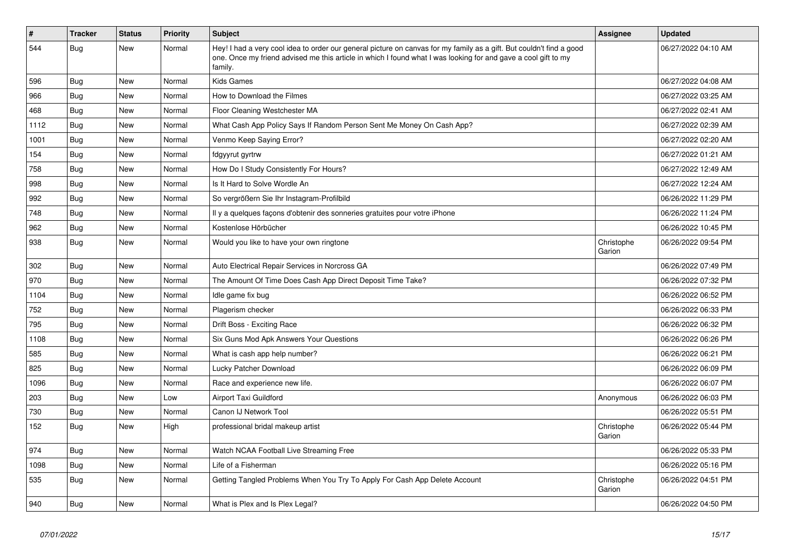| #    | <b>Tracker</b> | <b>Status</b> | <b>Priority</b> | Subject                                                                                                                                                                                                                                           | Assignee             | <b>Updated</b>      |
|------|----------------|---------------|-----------------|---------------------------------------------------------------------------------------------------------------------------------------------------------------------------------------------------------------------------------------------------|----------------------|---------------------|
| 544  | Bug            | <b>New</b>    | Normal          | Hey! I had a very cool idea to order our general picture on canvas for my family as a gift. But couldn't find a good<br>one. Once my friend advised me this article in which I found what I was looking for and gave a cool gift to my<br>family. |                      | 06/27/2022 04:10 AM |
| 596  | Bug            | <b>New</b>    | Normal          | <b>Kids Games</b>                                                                                                                                                                                                                                 |                      | 06/27/2022 04:08 AM |
| 966  | <b>Bug</b>     | <b>New</b>    | Normal          | How to Download the Filmes                                                                                                                                                                                                                        |                      | 06/27/2022 03:25 AM |
| 468  | Bug            | New           | Normal          | Floor Cleaning Westchester MA                                                                                                                                                                                                                     |                      | 06/27/2022 02:41 AM |
| 1112 | Bug            | New           | Normal          | What Cash App Policy Says If Random Person Sent Me Money On Cash App?                                                                                                                                                                             |                      | 06/27/2022 02:39 AM |
| 1001 | Bug            | New           | Normal          | Venmo Keep Saying Error?                                                                                                                                                                                                                          |                      | 06/27/2022 02:20 AM |
| 154  | Bug            | <b>New</b>    | Normal          | fdgyyrut gyrtrw                                                                                                                                                                                                                                   |                      | 06/27/2022 01:21 AM |
| 758  | <b>Bug</b>     | New           | Normal          | How Do I Study Consistently For Hours?                                                                                                                                                                                                            |                      | 06/27/2022 12:49 AM |
| 998  | <b>Bug</b>     | New           | Normal          | Is It Hard to Solve Wordle An                                                                                                                                                                                                                     |                      | 06/27/2022 12:24 AM |
| 992  | Bug            | New           | Normal          | So vergrößern Sie Ihr Instagram-Profilbild                                                                                                                                                                                                        |                      | 06/26/2022 11:29 PM |
| 748  | Bug            | New           | Normal          | Il y a quelques façons d'obtenir des sonneries gratuites pour votre iPhone                                                                                                                                                                        |                      | 06/26/2022 11:24 PM |
| 962  | Bug            | New           | Normal          | Kostenlose Hörbücher                                                                                                                                                                                                                              |                      | 06/26/2022 10:45 PM |
| 938  | Bug            | New           | Normal          | Would you like to have your own ringtone                                                                                                                                                                                                          | Christophe<br>Garion | 06/26/2022 09:54 PM |
| 302  | Bug            | New           | Normal          | Auto Electrical Repair Services in Norcross GA                                                                                                                                                                                                    |                      | 06/26/2022 07:49 PM |
| 970  | <b>Bug</b>     | <b>New</b>    | Normal          | The Amount Of Time Does Cash App Direct Deposit Time Take?                                                                                                                                                                                        |                      | 06/26/2022 07:32 PM |
| 1104 | <b>Bug</b>     | New           | Normal          | Idle game fix bug                                                                                                                                                                                                                                 |                      | 06/26/2022 06:52 PM |
| 752  | Bug            | New           | Normal          | Plagerism checker                                                                                                                                                                                                                                 |                      | 06/26/2022 06:33 PM |
| 795  | Bug            | New           | Normal          | Drift Boss - Exciting Race                                                                                                                                                                                                                        |                      | 06/26/2022 06:32 PM |
| 1108 | Bug            | New           | Normal          | Six Guns Mod Apk Answers Your Questions                                                                                                                                                                                                           |                      | 06/26/2022 06:26 PM |
| 585  | <b>Bug</b>     | New           | Normal          | What is cash app help number?                                                                                                                                                                                                                     |                      | 06/26/2022 06:21 PM |
| 825  | Bug            | New           | Normal          | Lucky Patcher Download                                                                                                                                                                                                                            |                      | 06/26/2022 06:09 PM |
| 1096 | Bug            | New           | Normal          | Race and experience new life.                                                                                                                                                                                                                     |                      | 06/26/2022 06:07 PM |
| 203  | Bug            | New           | Low             | Airport Taxi Guildford                                                                                                                                                                                                                            | Anonymous            | 06/26/2022 06:03 PM |
| 730  | <b>Bug</b>     | New           | Normal          | Canon IJ Network Tool                                                                                                                                                                                                                             |                      | 06/26/2022 05:51 PM |
| 152  | Bug            | New           | High            | professional bridal makeup artist                                                                                                                                                                                                                 | Christophe<br>Garion | 06/26/2022 05:44 PM |
| 974  | Bug            | <b>New</b>    | Normal          | Watch NCAA Football Live Streaming Free                                                                                                                                                                                                           |                      | 06/26/2022 05:33 PM |
| 1098 | Bug            | <b>New</b>    | Normal          | Life of a Fisherman                                                                                                                                                                                                                               |                      | 06/26/2022 05:16 PM |
| 535  | <b>Bug</b>     | New           | Normal          | Getting Tangled Problems When You Try To Apply For Cash App Delete Account                                                                                                                                                                        | Christophe<br>Garion | 06/26/2022 04:51 PM |
| 940  | Bug            | <b>New</b>    | Normal          | What is Plex and Is Plex Legal?                                                                                                                                                                                                                   |                      | 06/26/2022 04:50 PM |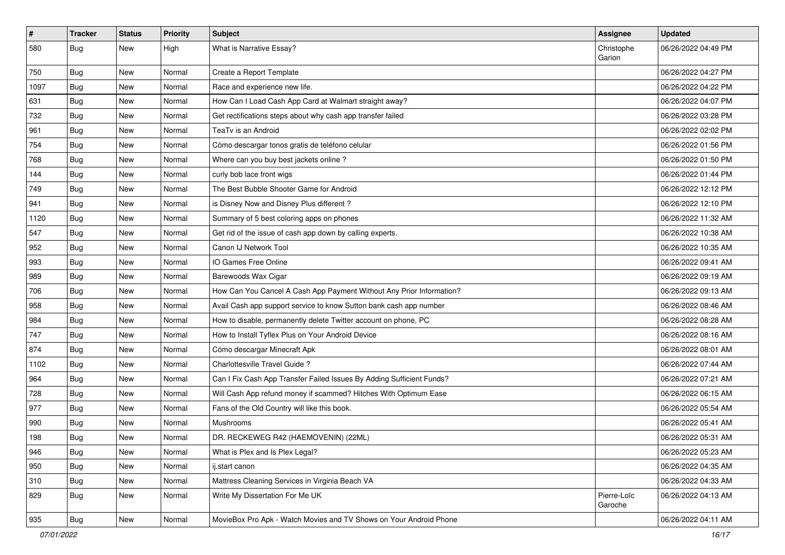| $\sharp$ | <b>Tracker</b> | <b>Status</b> | <b>Priority</b> | <b>Subject</b>                                                        | <b>Assignee</b>        | <b>Updated</b>      |
|----------|----------------|---------------|-----------------|-----------------------------------------------------------------------|------------------------|---------------------|
| 580      | <b>Bug</b>     | New           | High            | What is Narrative Essay?                                              | Christophe<br>Garion   | 06/26/2022 04:49 PM |
| 750      | Bug            | New           | Normal          | Create a Report Template                                              |                        | 06/26/2022 04:27 PM |
| 1097     | <b>Bug</b>     | New           | Normal          | Race and experience new life.                                         |                        | 06/26/2022 04:22 PM |
| 631      | Bug            | New           | Normal          | How Can I Load Cash App Card at Walmart straight away?                |                        | 06/26/2022 04:07 PM |
| 732      | <b>Bug</b>     | <b>New</b>    | Normal          | Get rectifications steps about why cash app transfer failed           |                        | 06/26/2022 03:28 PM |
| 961      | <b>Bug</b>     | New           | Normal          | TeaTv is an Android                                                   |                        | 06/26/2022 02:02 PM |
| 754      | Bug            | New           | Normal          | Cómo descargar tonos gratis de teléfono celular                       |                        | 06/26/2022 01:56 PM |
| 768      | <b>Bug</b>     | New           | Normal          | Where can you buy best jackets online?                                |                        | 06/26/2022 01:50 PM |
| 144      | <b>Bug</b>     | New           | Normal          | curly bob lace front wigs                                             |                        | 06/26/2022 01:44 PM |
| 749      | <b>Bug</b>     | New           | Normal          | The Best Bubble Shooter Game for Android                              |                        | 06/26/2022 12:12 PM |
| 941      | Bug            | New           | Normal          | is Disney Now and Disney Plus different?                              |                        | 06/26/2022 12:10 PM |
| 1120     | <b>Bug</b>     | New           | Normal          | Summary of 5 best coloring apps on phones                             |                        | 06/26/2022 11:32 AM |
| 547      | Bug            | New           | Normal          | Get rid of the issue of cash app down by calling experts.             |                        | 06/26/2022 10:38 AM |
| 952      | Bug            | <b>New</b>    | Normal          | Canon IJ Network Tool                                                 |                        | 06/26/2022 10:35 AM |
| 993      | <b>Bug</b>     | New           | Normal          | IO Games Free Online                                                  |                        | 06/26/2022 09:41 AM |
| 989      | Bug            | New           | Normal          | Barewoods Wax Cigar                                                   |                        | 06/26/2022 09:19 AM |
| 706      | Bug            | New           | Normal          | How Can You Cancel A Cash App Payment Without Any Prior Information?  |                        | 06/26/2022 09:13 AM |
| 958      | <b>Bug</b>     | New           | Normal          | Avail Cash app support service to know Sutton bank cash app number    |                        | 06/26/2022 08:46 AM |
| 984      | Bug            | New           | Normal          | How to disable, permanently delete Twitter account on phone, PC       |                        | 06/26/2022 08:28 AM |
| 747      | Bug            | New           | Normal          | How to Install Tyflex Plus on Your Android Device                     |                        | 06/26/2022 08:16 AM |
| 874      | <b>Bug</b>     | New           | Normal          | Cómo descargar Minecraft Apk                                          |                        | 06/26/2022 08:01 AM |
| 1102     | Bug            | New           | Normal          | Charlottesville Travel Guide?                                         |                        | 06/26/2022 07:44 AM |
| 964      | <b>Bug</b>     | New           | Normal          | Can I Fix Cash App Transfer Failed Issues By Adding Sufficient Funds? |                        | 06/26/2022 07:21 AM |
| 728      | Bug            | New           | Normal          | Will Cash App refund money if scammed? Hitches With Optimum Ease      |                        | 06/26/2022 06:15 AM |
| 977      | <b>Bug</b>     | New           | Normal          | Fans of the Old Country will like this book.                          |                        | 06/26/2022 05:54 AM |
| 990      | <b>Bug</b>     | New           | Normal          | Mushrooms                                                             |                        | 06/26/2022 05:41 AM |
| 198      | <b>Bug</b>     | New           | Normal          | DR. RECKEWEG R42 (HAEMOVENIN) (22ML)                                  |                        | 06/26/2022 05:31 AM |
| 946      | Bug            | New           | Normal          | What is Plex and Is Plex Legal?                                       |                        | 06/26/2022 05:23 AM |
| 950      | <b>Bug</b>     | New           | Normal          | ij.start canon                                                        |                        | 06/26/2022 04:35 AM |
| 310      | Bug            | New           | Normal          | Mattress Cleaning Services in Virginia Beach VA                       |                        | 06/26/2022 04:33 AM |
| 829      | Bug            | New           | Normal          | Write My Dissertation For Me UK                                       | Pierre-Loïc<br>Garoche | 06/26/2022 04:13 AM |
| 935      | <b>Bug</b>     | New           | Normal          | MovieBox Pro Apk - Watch Movies and TV Shows on Your Android Phone    |                        | 06/26/2022 04:11 AM |